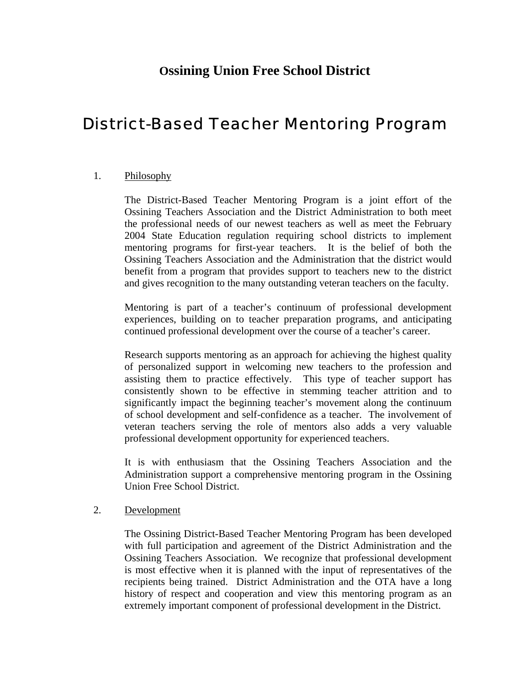# **Ossining Union Free School District**

# District-Based Teacher Mentoring Program

# 1. Philosophy

The District-Based Teacher Mentoring Program is a joint effort of the Ossining Teachers Association and the District Administration to both meet the professional needs of our newest teachers as well as meet the February 2004 State Education regulation requiring school districts to implement mentoring programs for first-year teachers. It is the belief of both the Ossining Teachers Association and the Administration that the district would benefit from a program that provides support to teachers new to the district and gives recognition to the many outstanding veteran teachers on the faculty.

Mentoring is part of a teacher's continuum of professional development experiences, building on to teacher preparation programs, and anticipating continued professional development over the course of a teacher's career.

Research supports mentoring as an approach for achieving the highest quality of personalized support in welcoming new teachers to the profession and assisting them to practice effectively. This type of teacher support has consistently shown to be effective in stemming teacher attrition and to significantly impact the beginning teacher's movement along the continuum of school development and self-confidence as a teacher. The involvement of veteran teachers serving the role of mentors also adds a very valuable professional development opportunity for experienced teachers.

It is with enthusiasm that the Ossining Teachers Association and the Administration support a comprehensive mentoring program in the Ossining Union Free School District.

#### 2. Development

The Ossining District-Based Teacher Mentoring Program has been developed with full participation and agreement of the District Administration and the Ossining Teachers Association. We recognize that professional development is most effective when it is planned with the input of representatives of the recipients being trained. District Administration and the OTA have a long history of respect and cooperation and view this mentoring program as an extremely important component of professional development in the District.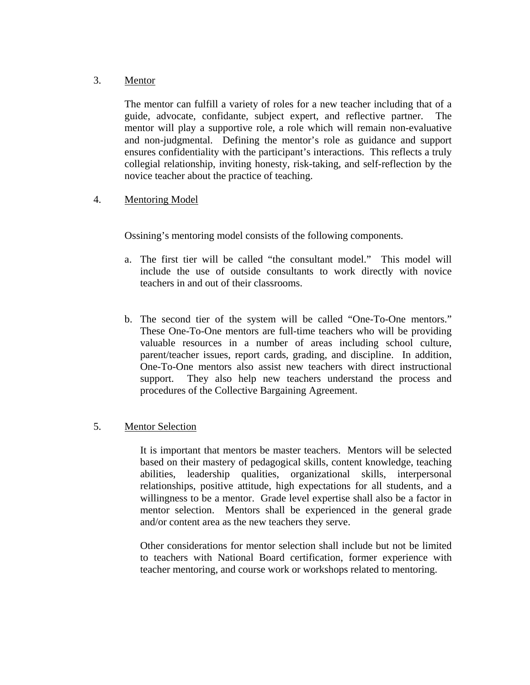### 3. Mentor

The mentor can fulfill a variety of roles for a new teacher including that of a guide, advocate, confidante, subject expert, and reflective partner. The mentor will play a supportive role, a role which will remain non-evaluative and non-judgmental. Defining the mentor's role as guidance and support ensures confidentiality with the participant's interactions. This reflects a truly collegial relationship, inviting honesty, risk-taking, and self-reflection by the novice teacher about the practice of teaching.

# 4. Mentoring Model

Ossining's mentoring model consists of the following components.

- a. The first tier will be called "the consultant model." This model will include the use of outside consultants to work directly with novice teachers in and out of their classrooms.
- b. The second tier of the system will be called "One-To-One mentors." These One-To-One mentors are full-time teachers who will be providing valuable resources in a number of areas including school culture, parent/teacher issues, report cards, grading, and discipline. In addition, One-To-One mentors also assist new teachers with direct instructional support. They also help new teachers understand the process and procedures of the Collective Bargaining Agreement.

# 5. Mentor Selection

It is important that mentors be master teachers. Mentors will be selected based on their mastery of pedagogical skills, content knowledge, teaching abilities, leadership qualities, organizational skills, interpersonal relationships, positive attitude, high expectations for all students, and a willingness to be a mentor. Grade level expertise shall also be a factor in mentor selection. Mentors shall be experienced in the general grade and/or content area as the new teachers they serve.

Other considerations for mentor selection shall include but not be limited to teachers with National Board certification, former experience with teacher mentoring, and course work or workshops related to mentoring.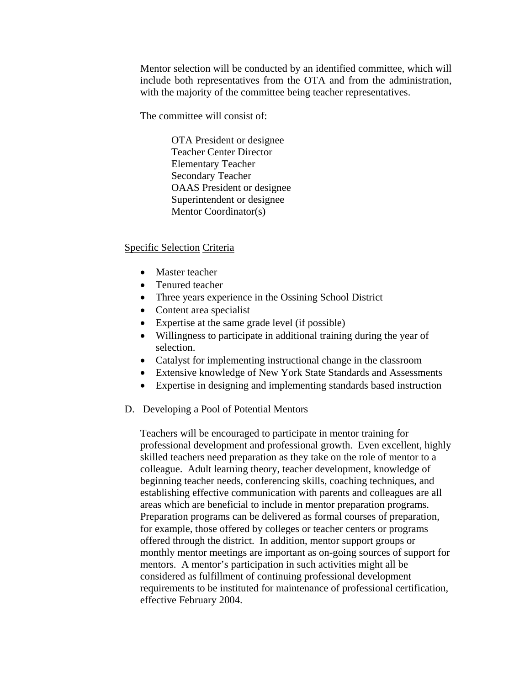Mentor selection will be conducted by an identified committee, which will include both representatives from the OTA and from the administration, with the majority of the committee being teacher representatives.

The committee will consist of:

 OTA President or designee Teacher Center Director Elementary Teacher Secondary Teacher OAAS President or designee Superintendent or designee Mentor Coordinator(s)

#### Specific Selection Criteria

- Master teacher
- Tenured teacher
- Three years experience in the Ossining School District
- Content area specialist
- Expertise at the same grade level (if possible)
- Willingness to participate in additional training during the year of selection.
- Catalyst for implementing instructional change in the classroom
- Extensive knowledge of New York State Standards and Assessments
- Expertise in designing and implementing standards based instruction

#### D. Developing a Pool of Potential Mentors

Teachers will be encouraged to participate in mentor training for professional development and professional growth. Even excellent, highly skilled teachers need preparation as they take on the role of mentor to a colleague. Adult learning theory, teacher development, knowledge of beginning teacher needs, conferencing skills, coaching techniques, and establishing effective communication with parents and colleagues are all areas which are beneficial to include in mentor preparation programs. Preparation programs can be delivered as formal courses of preparation, for example, those offered by colleges or teacher centers or programs offered through the district. In addition, mentor support groups or monthly mentor meetings are important as on-going sources of support for mentors. A mentor's participation in such activities might all be considered as fulfillment of continuing professional development requirements to be instituted for maintenance of professional certification, effective February 2004.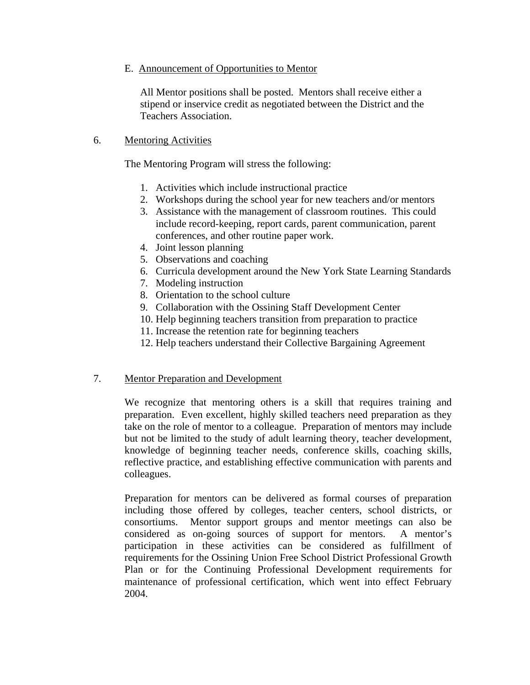### E. Announcement of Opportunities to Mentor

All Mentor positions shall be posted. Mentors shall receive either a stipend or inservice credit as negotiated between the District and the Teachers Association.

# 6. Mentoring Activities

The Mentoring Program will stress the following:

- 1. Activities which include instructional practice
- 2. Workshops during the school year for new teachers and/or mentors
- 3. Assistance with the management of classroom routines. This could include record-keeping, report cards, parent communication, parent conferences, and other routine paper work.
- 4. Joint lesson planning
- 5. Observations and coaching
- 6. Curricula development around the New York State Learning Standards
- 7. Modeling instruction
- 8. Orientation to the school culture
- 9. Collaboration with the Ossining Staff Development Center
- 10. Help beginning teachers transition from preparation to practice
- 11. Increase the retention rate for beginning teachers
- 12. Help teachers understand their Collective Bargaining Agreement

#### 7. Mentor Preparation and Development

We recognize that mentoring others is a skill that requires training and preparation. Even excellent, highly skilled teachers need preparation as they take on the role of mentor to a colleague. Preparation of mentors may include but not be limited to the study of adult learning theory, teacher development, knowledge of beginning teacher needs, conference skills, coaching skills, reflective practice, and establishing effective communication with parents and colleagues.

Preparation for mentors can be delivered as formal courses of preparation including those offered by colleges, teacher centers, school districts, or consortiums. Mentor support groups and mentor meetings can also be considered as on-going sources of support for mentors. A mentor's participation in these activities can be considered as fulfillment of requirements for the Ossining Union Free School District Professional Growth Plan or for the Continuing Professional Development requirements for maintenance of professional certification, which went into effect February 2004.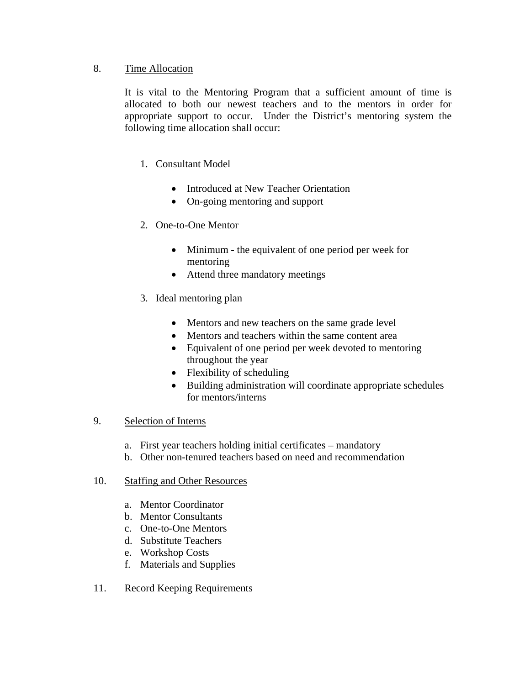# 8. Time Allocation

It is vital to the Mentoring Program that a sufficient amount of time is allocated to both our newest teachers and to the mentors in order for appropriate support to occur. Under the District's mentoring system the following time allocation shall occur:

# 1. Consultant Model

- Introduced at New Teacher Orientation
- On-going mentoring and support
- 2. One-to-One Mentor
	- Minimum the equivalent of one period per week for mentoring
	- Attend three mandatory meetings
- 3. Ideal mentoring plan
	- Mentors and new teachers on the same grade level
	- Mentors and teachers within the same content area
	- Equivalent of one period per week devoted to mentoring throughout the year
	- Flexibility of scheduling
	- Building administration will coordinate appropriate schedules for mentors/interns

# 9. Selection of Interns

- a. First year teachers holding initial certificates mandatory
- b. Other non-tenured teachers based on need and recommendation

# 10. Staffing and Other Resources

- a. Mentor Coordinator
- b. Mentor Consultants
- c. One-to-One Mentors
- d. Substitute Teachers
- e. Workshop Costs
- f. Materials and Supplies
- 11. Record Keeping Requirements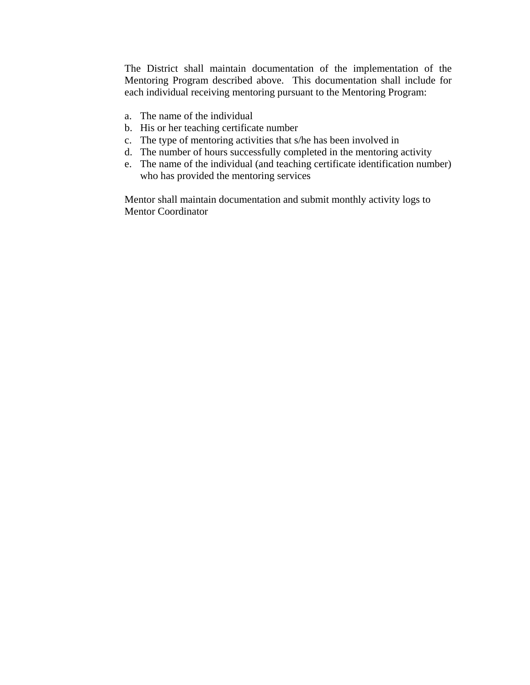The District shall maintain documentation of the implementation of the Mentoring Program described above. This documentation shall include for each individual receiving mentoring pursuant to the Mentoring Program:

- a. The name of the individual
- b. His or her teaching certificate number
- c. The type of mentoring activities that s/he has been involved in
- d. The number of hours successfully completed in the mentoring activity
- e. The name of the individual (and teaching certificate identification number) who has provided the mentoring services

Mentor shall maintain documentation and submit monthly activity logs to Mentor Coordinator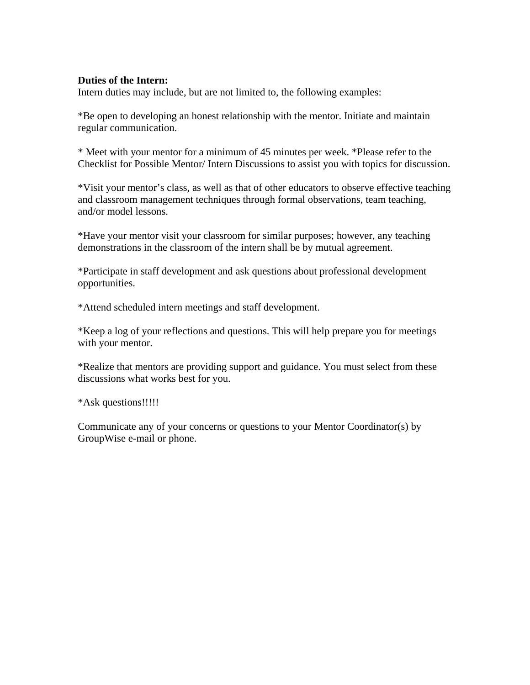#### **Duties of the Intern:**

Intern duties may include, but are not limited to, the following examples:

\*Be open to developing an honest relationship with the mentor. Initiate and maintain regular communication.

\* Meet with your mentor for a minimum of 45 minutes per week. \*Please refer to the Checklist for Possible Mentor/ Intern Discussions to assist you with topics for discussion.

\*Visit your mentor's class, as well as that of other educators to observe effective teaching and classroom management techniques through formal observations, team teaching, and/or model lessons.

\*Have your mentor visit your classroom for similar purposes; however, any teaching demonstrations in the classroom of the intern shall be by mutual agreement.

\*Participate in staff development and ask questions about professional development opportunities.

\*Attend scheduled intern meetings and staff development.

\*Keep a log of your reflections and questions. This will help prepare you for meetings with your mentor.

\*Realize that mentors are providing support and guidance. You must select from these discussions what works best for you.

\*Ask questions!!!!!

Communicate any of your concerns or questions to your Mentor Coordinator(s) by GroupWise e-mail or phone.